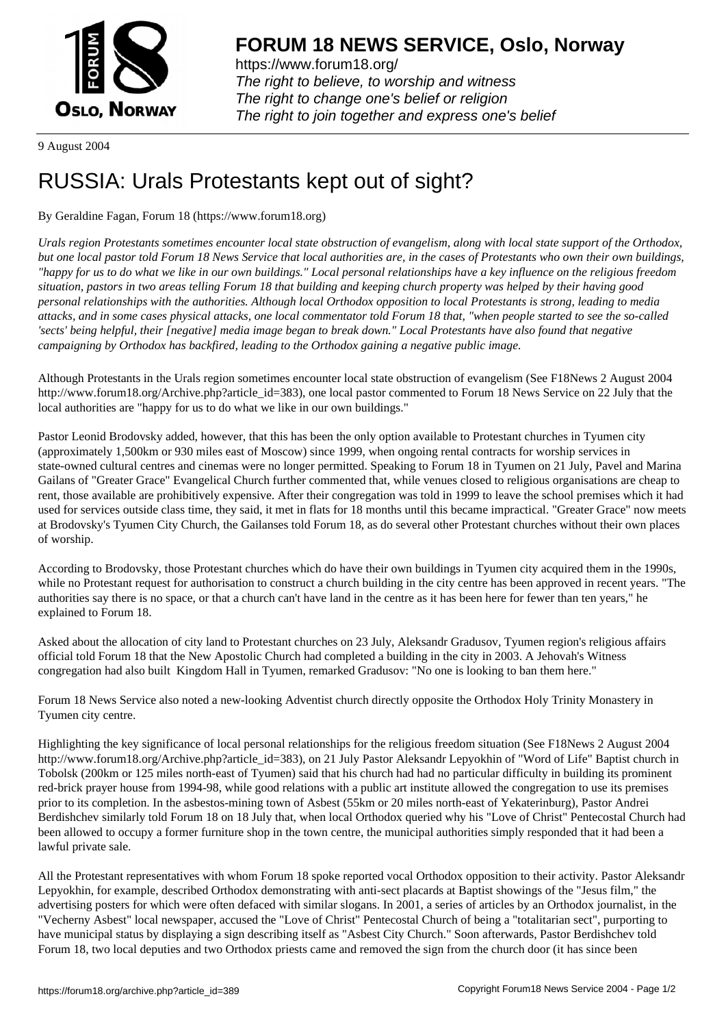

https://www.forum18.org/ The right to believe, to worship and witness The right to change one's belief or religion [The right to join together a](https://www.forum18.org/)nd express one's belief

9 August 2004

## [RUSSIA: Urals](https://www.forum18.org) Protestants kept out of sight?

## By Geraldine Fagan, Forum 18 (https://www.forum18.org)

*Urals region Protestants sometimes encounter local state obstruction of evangelism, along with local state support of the Orthodox, but one local pastor told Forum 18 News Service that local authorities are, in the cases of Protestants who own their own buildings, "happy for us to do what we like in our own buildings." Local personal relationships have a key influence on the religious freedom situation, pastors in two areas telling Forum 18 that building and keeping church property was helped by their having good personal relationships with the authorities. Although local Orthodox opposition to local Protestants is strong, leading to media attacks, and in some cases physical attacks, one local commentator told Forum 18 that, "when people started to see the so-called 'sects' being helpful, their [negative] media image began to break down." Local Protestants have also found that negative campaigning by Orthodox has backfired, leading to the Orthodox gaining a negative public image.*

Although Protestants in the Urals region sometimes encounter local state obstruction of evangelism (See F18News 2 August 2004 http://www.forum18.org/Archive.php?article\_id=383), one local pastor commented to Forum 18 News Service on 22 July that the local authorities are "happy for us to do what we like in our own buildings."

Pastor Leonid Brodovsky added, however, that this has been the only option available to Protestant churches in Tyumen city (approximately 1,500km or 930 miles east of Moscow) since 1999, when ongoing rental contracts for worship services in state-owned cultural centres and cinemas were no longer permitted. Speaking to Forum 18 in Tyumen on 21 July, Pavel and Marina Gailans of "Greater Grace" Evangelical Church further commented that, while venues closed to religious organisations are cheap to rent, those available are prohibitively expensive. After their congregation was told in 1999 to leave the school premises which it had used for services outside class time, they said, it met in flats for 18 months until this became impractical. "Greater Grace" now meets at Brodovsky's Tyumen City Church, the Gailanses told Forum 18, as do several other Protestant churches without their own places of worship.

According to Brodovsky, those Protestant churches which do have their own buildings in Tyumen city acquired them in the 1990s, while no Protestant request for authorisation to construct a church building in the city centre has been approved in recent years. "The authorities say there is no space, or that a church can't have land in the centre as it has been here for fewer than ten years," he explained to Forum 18.

Asked about the allocation of city land to Protestant churches on 23 July, Aleksandr Gradusov, Tyumen region's religious affairs official told Forum 18 that the New Apostolic Church had completed a building in the city in 2003. A Jehovah's Witness congregation had also built Kingdom Hall in Tyumen, remarked Gradusov: "No one is looking to ban them here."

Forum 18 News Service also noted a new-looking Adventist church directly opposite the Orthodox Holy Trinity Monastery in Tyumen city centre.

Highlighting the key significance of local personal relationships for the religious freedom situation (See F18News 2 August 2004 http://www.forum18.org/Archive.php?article\_id=383), on 21 July Pastor Aleksandr Lepyokhin of "Word of Life" Baptist church in Tobolsk (200km or 125 miles north-east of Tyumen) said that his church had had no particular difficulty in building its prominent red-brick prayer house from 1994-98, while good relations with a public art institute allowed the congregation to use its premises prior to its completion. In the asbestos-mining town of Asbest (55km or 20 miles north-east of Yekaterinburg), Pastor Andrei Berdishchev similarly told Forum 18 on 18 July that, when local Orthodox queried why his "Love of Christ" Pentecostal Church had been allowed to occupy a former furniture shop in the town centre, the municipal authorities simply responded that it had been a lawful private sale.

All the Protestant representatives with whom Forum 18 spoke reported vocal Orthodox opposition to their activity. Pastor Aleksandr Lepyokhin, for example, described Orthodox demonstrating with anti-sect placards at Baptist showings of the "Jesus film," the advertising posters for which were often defaced with similar slogans. In 2001, a series of articles by an Orthodox journalist, in the "Vecherny Asbest" local newspaper, accused the "Love of Christ" Pentecostal Church of being a "totalitarian sect", purporting to have municipal status by displaying a sign describing itself as "Asbest City Church." Soon afterwards, Pastor Berdishchev told Forum 18, two local deputies and two Orthodox priests came and removed the sign from the church door (it has since been